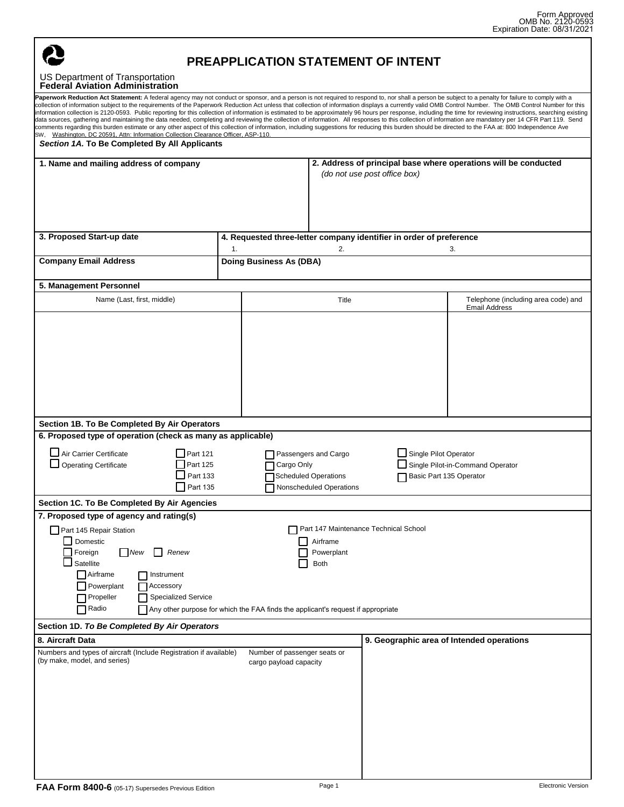

## **PREAPPLICATION STATEMENT OF INTENT**

## US Department of Transportation **Federal Aviation Administration**

| Paperwork Reduction Act Statement: A federal agency may not conduct or sponsor, and a person is not required to respond to, nor shall a person be subject to a penalty for failure to comply with a<br>collection of information subject to the requirements of the Paperwork Reduction Act unless that collection of information displays a currently valid OMB Control Number. The OMB Control Number for this<br>information collection is 2120-0593. Public reporting for this collection of information is estimated to be approximately 96 hours per response, including the time for reviewing instructions, searching existing<br>data sources, gathering and maintaining the data needed, completing and reviewing the collection of information. All responses to this collection of information are mandatory per 14 CFR Part 119. Send<br>comments regarding this burden estimate or any other aspect of this collection of information, including suggestions for reducing this burden should be directed to the FAA at: 800 Independence Ave<br>SW, Washington, DC 20591, Attn: Information Collection Clearance Officer, ASP-110. |                                                                                       |                                                                                                 |                                                  |                                                             |
|--------------------------------------------------------------------------------------------------------------------------------------------------------------------------------------------------------------------------------------------------------------------------------------------------------------------------------------------------------------------------------------------------------------------------------------------------------------------------------------------------------------------------------------------------------------------------------------------------------------------------------------------------------------------------------------------------------------------------------------------------------------------------------------------------------------------------------------------------------------------------------------------------------------------------------------------------------------------------------------------------------------------------------------------------------------------------------------------------------------------------------------------------|---------------------------------------------------------------------------------------|-------------------------------------------------------------------------------------------------|--------------------------------------------------|-------------------------------------------------------------|
| Section 1A. To Be Completed By All Applicants                                                                                                                                                                                                                                                                                                                                                                                                                                                                                                                                                                                                                                                                                                                                                                                                                                                                                                                                                                                                                                                                                                    |                                                                                       |                                                                                                 |                                                  |                                                             |
| 1. Name and mailing address of company                                                                                                                                                                                                                                                                                                                                                                                                                                                                                                                                                                                                                                                                                                                                                                                                                                                                                                                                                                                                                                                                                                           |                                                                                       | 2. Address of principal base where operations will be conducted<br>(do not use post office box) |                                                  |                                                             |
| 3. Proposed Start-up date                                                                                                                                                                                                                                                                                                                                                                                                                                                                                                                                                                                                                                                                                                                                                                                                                                                                                                                                                                                                                                                                                                                        | 4. Requested three-letter company identifier in order of preference<br>2.<br>1.<br>3. |                                                                                                 |                                                  |                                                             |
| <b>Company Email Address</b>                                                                                                                                                                                                                                                                                                                                                                                                                                                                                                                                                                                                                                                                                                                                                                                                                                                                                                                                                                                                                                                                                                                     | <b>Doing Business As (DBA)</b>                                                        |                                                                                                 |                                                  |                                                             |
| 5. Management Personnel                                                                                                                                                                                                                                                                                                                                                                                                                                                                                                                                                                                                                                                                                                                                                                                                                                                                                                                                                                                                                                                                                                                          |                                                                                       |                                                                                                 |                                                  |                                                             |
| Name (Last, first, middle)                                                                                                                                                                                                                                                                                                                                                                                                                                                                                                                                                                                                                                                                                                                                                                                                                                                                                                                                                                                                                                                                                                                       |                                                                                       | Title                                                                                           |                                                  | Telephone (including area code) and<br><b>Email Address</b> |
| Section 1B. To Be Completed By Air Operators<br>6. Proposed type of operation (check as many as applicable)<br>Air Carrier Certificate<br>Part 121<br>$\Box$ Operating Certificate<br>Part 125<br>Part 133<br>Part 135                                                                                                                                                                                                                                                                                                                                                                                                                                                                                                                                                                                                                                                                                                                                                                                                                                                                                                                           | Cargo Only                                                                            | Passengers and Cargo<br><b>Scheduled Operations</b><br>Nonscheduled Operations                  | Single Pilot Operator<br>Basic Part 135 Operator | Single Pilot-in-Command Operator                            |
| Section 1C. To Be Completed By Air Agencies                                                                                                                                                                                                                                                                                                                                                                                                                                                                                                                                                                                                                                                                                                                                                                                                                                                                                                                                                                                                                                                                                                      |                                                                                       |                                                                                                 |                                                  |                                                             |
| 7. Proposed type of agency and rating(s)<br>Part 145 Repair Station<br>Domestic<br>Foreign New Renew<br>Satellite<br>$\Box$ Airframe<br>Instrument<br>Powerplant<br>Accessory<br>Propeller<br><b>Specialized Service</b><br>Radio                                                                                                                                                                                                                                                                                                                                                                                                                                                                                                                                                                                                                                                                                                                                                                                                                                                                                                                | Any other purpose for which the FAA finds the applicant's request if appropriate      | Part 147 Maintenance Technical School<br>Airframe<br>$\Box$ Powerplant<br>Both                  |                                                  |                                                             |
| Section 1D. To Be Completed By Air Operators                                                                                                                                                                                                                                                                                                                                                                                                                                                                                                                                                                                                                                                                                                                                                                                                                                                                                                                                                                                                                                                                                                     |                                                                                       |                                                                                                 |                                                  |                                                             |
| 8. Aircraft Data<br>Numbers and types of aircraft (Include Registration if available)<br>(by make, model, and series)                                                                                                                                                                                                                                                                                                                                                                                                                                                                                                                                                                                                                                                                                                                                                                                                                                                                                                                                                                                                                            | Number of passenger seats or<br>cargo payload capacity                                |                                                                                                 |                                                  | 9. Geographic area of Intended operations                   |